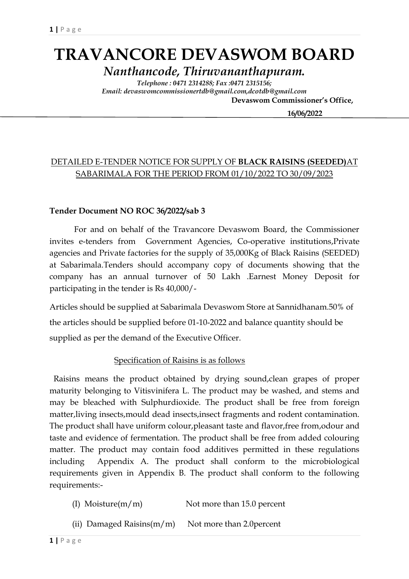# **TRAVANCORE DEVASWOM BOARD**

*Nanthancode, Thiruvananthapuram. Telephone : 0471 2314288; Fax :0471 2315156;*

*Email: devaswomcommissionertdb@gmail.com,dcotdb@gmail.com*  **Devaswom Commissioner's Office,**

 **16/06/2022**

### DETAILED E-TENDER NOTICE FOR SUPPLY OF **BLACK RAISINS (SEEDED)**AT SABARIMALA FOR THE PERIOD FROM 01/10/2022 TO 30/09/2023

#### **Tender Document NO ROC 36/2022/sab 3**

For and on behalf of the Travancore Devaswom Board, the Commissioner invites e-tenders from Government Agencies, Co-operative institutions,Private agencies and Private factories for the supply of 35,000Kg of Black Raisins (SEEDED) at Sabarimala.Tenders should accompany copy of documents showing that the company has an annual turnover of 50 Lakh .Earnest Money Deposit for participating in the tender is Rs 40,000/-

Articles should be supplied at Sabarimala Devaswom Store at Sannidhanam.50% of the articles should be supplied before 01-10-2022 and balance quantity should be supplied as per the demand of the Executive Officer.

#### Specification of Raisins is as follows

 Raisins means the product obtained by drying sound,clean grapes of proper maturity belonging to Vitisvinifera L. The product may be washed, and stems and may be bleached with Sulphurdioxide. The product shall be free from foreign matter,living insects,mould dead insects,insect fragments and rodent contamination. The product shall have uniform colour,pleasant taste and flavor,free from,odour and taste and evidence of fermentation. The product shall be free from added colouring matter. The product may contain food additives permitted in these regulations including Appendix A. The product shall conform to the microbiological requirements given in Appendix B. The product shall conform to the following requirements:-

- (I) Moisture( $m/m$ ) Not more than 15.0 percent
- (ii) Damaged Raisins $(m/m)$  Not more than 2.0 percent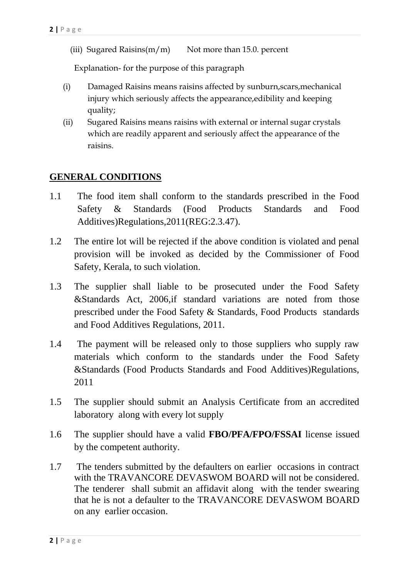(iii) Sugared Raisins $(m/m)$  Not more than 15.0. percent

Explanation- for the purpose of this paragraph

- (i) Damaged Raisins means raisins affected by sunburn,scars,mechanical injury which seriously affects the appearance,edibility and keeping quality;
- (ii) Sugared Raisins means raisins with external or internal sugar crystals which are readily apparent and seriously affect the appearance of the raisins.

### **GENERAL CONDITIONS**

- 1.1 The food item shall conform to the standards prescribed in the Food Safety & Standards (Food Products Standards and Food Additives)Regulations,2011(REG:2.3.47).
- 1.2 The entire lot will be rejected if the above condition is violated and penal provision will be invoked as decided by the Commissioner of Food Safety, Kerala, to such violation.
- 1.3 The supplier shall liable to be prosecuted under the Food Safety &Standards Act, 2006,if standard variations are noted from those prescribed under the Food Safety & Standards, Food Products standards and Food Additives Regulations, 2011.
- 1.4 The payment will be released only to those suppliers who supply raw materials which conform to the standards under the Food Safety &Standards (Food Products Standards and Food Additives)Regulations, 2011
- 1.5 The supplier should submit an Analysis Certificate from an accredited laboratory along with every lot supply
- 1.6 The supplier should have a valid **FBO/PFA/FPO/FSSAI** license issued by the competent authority.
- 1.7 The tenders submitted by the defaulters on earlier occasions in contract with the TRAVANCORE DEVASWOM BOARD will not be considered. The tenderer shall submit an affidavit along with the tender swearing that he is not a defaulter to the TRAVANCORE DEVASWOM BOARD on any earlier occasion.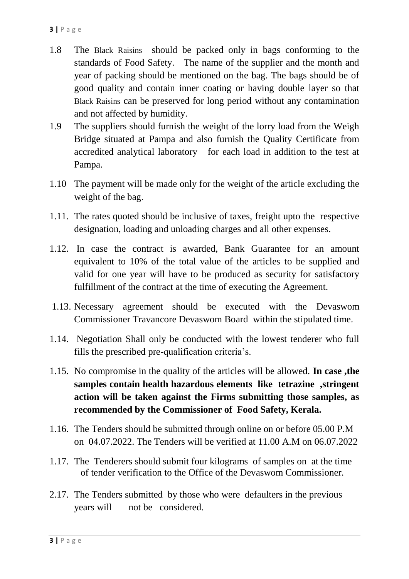- 1.8 The Black Raisins should be packed only in bags conforming to the standards of Food Safety. The name of the supplier and the month and year of packing should be mentioned on the bag. The bags should be of good quality and contain inner coating or having double layer so that Black Raisins can be preserved for long period without any contamination and not affected by humidity.
- 1.9 The suppliers should furnish the weight of the lorry load from the Weigh Bridge situated at Pampa and also furnish the Quality Certificate from accredited analytical laboratory for each load in addition to the test at Pampa.
- 1.10 The payment will be made only for the weight of the article excluding the weight of the bag.
- 1.11. The rates quoted should be inclusive of taxes, freight upto the respective designation, loading and unloading charges and all other expenses.
- 1.12. In case the contract is awarded, Bank Guarantee for an amount equivalent to 10% of the total value of the articles to be supplied and valid for one year will have to be produced as security for satisfactory fulfillment of the contract at the time of executing the Agreement.
- 1.13. Necessary agreement should be executed with the Devaswom Commissioner Travancore Devaswom Board within the stipulated time.
- 1.14. Negotiation Shall only be conducted with the lowest tenderer who full fills the prescribed pre-qualification criteria's.
- 1.15. No compromise in the quality of the articles will be allowed. **In case ,the samples contain health hazardous elements like tetrazine ,stringent action will be taken against the Firms submitting those samples, as recommended by the Commissioner of Food Safety, Kerala.**
- 1.16. The Tenders should be submitted through online on or before 05.00 P.M on 04.07.2022. The Tenders will be verified at 11.00 A.M on 06.07.2022
- 1.17. The Tenderers should submit four kilograms of samples on at the time of tender verification to the Office of the Devaswom Commissioner.
- 2.17. The Tenders submitted by those who were defaulters in the previous years will not be considered.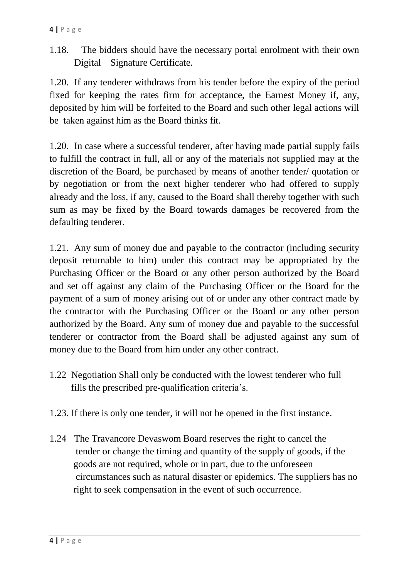1.18. The bidders should have the necessary portal enrolment with their own Digital Signature Certificate.

1.20. If any tenderer withdraws from his tender before the expiry of the period fixed for keeping the rates firm for acceptance, the Earnest Money if, any, deposited by him will be forfeited to the Board and such other legal actions will be taken against him as the Board thinks fit.

1.20. In case where a successful tenderer, after having made partial supply fails to fulfill the contract in full, all or any of the materials not supplied may at the discretion of the Board, be purchased by means of another tender/ quotation or by negotiation or from the next higher tenderer who had offered to supply already and the loss, if any, caused to the Board shall thereby together with such sum as may be fixed by the Board towards damages be recovered from the defaulting tenderer.

1.21. Any sum of money due and payable to the contractor (including security deposit returnable to him) under this contract may be appropriated by the Purchasing Officer or the Board or any other person authorized by the Board and set off against any claim of the Purchasing Officer or the Board for the payment of a sum of money arising out of or under any other contract made by the contractor with the Purchasing Officer or the Board or any other person authorized by the Board. Any sum of money due and payable to the successful tenderer or contractor from the Board shall be adjusted against any sum of money due to the Board from him under any other contract.

- 1.22 Negotiation Shall only be conducted with the lowest tenderer who full fills the prescribed pre-qualification criteria's.
- 1.23. If there is only one tender, it will not be opened in the first instance.
- 1.24 The Travancore Devaswom Board reserves the right to cancel the tender or change the timing and quantity of the supply of goods, if the goods are not required, whole or in part, due to the unforeseen circumstances such as natural disaster or epidemics. The suppliers has no right to seek compensation in the event of such occurrence.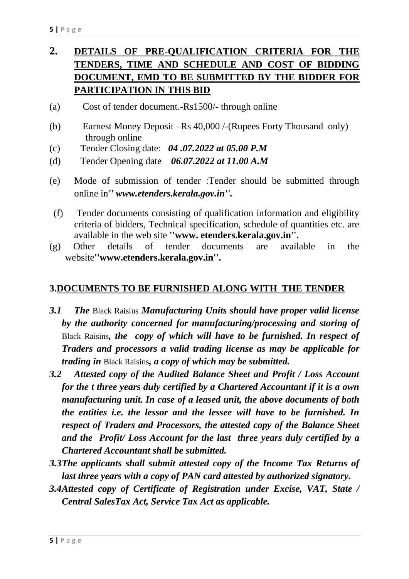# **2. DETAILS OF PRE-QUALIFICATION CRITERIA FOR THE TENDERS, TIME AND SCHEDULE AND COST OF BIDDING DOCUMENT, EMD TO BE SUBMITTED BY THE BIDDER FOR PARTICIPATION IN THIS BID**

- (a) Cost of tender document.-Rs1500/- through online
- (b) Earnest Money Deposit –Rs 40,000 /-(Rupees Forty Thousand only) through online
- (c) Tender Closing date: *04 .07.2022 at 05.00 P.M*
- (d) Tender Opening date *06.07.2022 at 11.00 A.M*
- (e) Mode of submission of tender :Tender should be submitted through online in*'' www.etenders.kerala.gov.in''.*
- (f) Tender documents consisting of qualification information and eligibility criteria of bidders, Technical specification, schedule of quantities etc. are available in the web site **''www. etenders.kerala.gov.in''.**
- (g) Other details of tender documents are available in the website**''www.etenders.kerala.gov.in''.**

### **3.DOCUMENTS TO BE FURNISHED ALONG WITH THE TENDER**

- *3.1 The* Black Raisins *Manufacturing Units should have proper valid license by the authority concerned for manufacturing/processing and storing of*  Black Raisins*, the copy of which will have to be furnished. In respect of Traders and processors a valid trading license as may be applicable for trading in* Black Raisins*, a copy of which may be submitted.*
- *3.2 Attested copy of the Audited Balance Sheet and Profit / Loss Account for the t three years duly certified by a Chartered Accountant if it is a own manufacturing unit. In case of a leased unit, the above documents of both the entities i.e. the lessor and the lessee will have to be furnished. In respect of Traders and Processors, the attested copy of the Balance Sheet and the Profit/ Loss Account for the last three years duly certified by a Chartered Accountant shall be submitted.*
- *3.3The applicants shall submit attested copy of the Income Tax Returns of last three years with a copy of PAN card attested by authorized signatory.*
- *3.4Attested copy of Certificate of Registration under Excise, VAT, State / Central SalesTax Act, Service Tax Act as applicable.*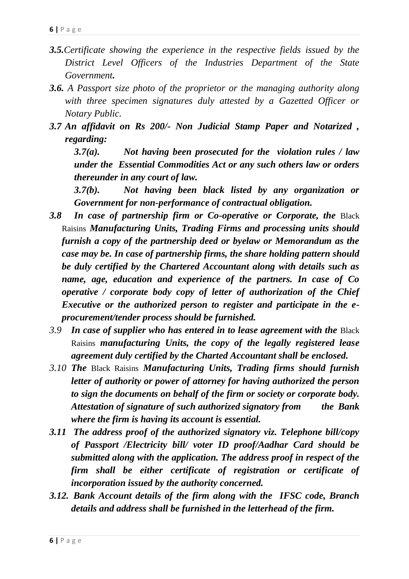- *3.5.Certificate showing the experience in the respective fields issued by the District Level Officers of the Industries Department of the State Government.*
- *3.6. A Passport size photo of the proprietor or the managing authority along with three specimen signatures duly attested by a Gazetted Officer or Notary Public.*
- *3.7 An affidavit on Rs 200/- Non Judicial Stamp Paper and Notarized , regarding:*

*3.7(a). Not having been prosecuted for the violation rules / law under the Essential Commodities Act or any such others law or orders thereunder in any court of law.*

*3.7(b). Not having been black listed by any organization or Government for non-performance of contractual obligation.*

- *3.8 In case of partnership firm or Co-operative or Corporate, the* Black Raisins *Manufacturing Units, Trading Firms and processing units should furnish a copy of the partnership deed or byelaw or Memorandum as the case may be. In case of partnership firms, the share holding pattern should be duly certified by the Chartered Accountant along with details such as name, age, education and experience of the partners. In case of Co operative / corporate body copy of letter of authorization of the Chief Executive or the authorized person to register and participate in the eprocurement/tender process should be furnished.*
- *3.9 In case of supplier who has entered in to lease agreement with the* Black Raisins *manufacturing Units, the copy of the legally registered lease agreement duly certified by the Charted Accountant shall be enclosed.*
- *3.10 The* Black Raisins *Manufacturing Units, Trading firms should furnish letter of authority or power of attorney for having authorized the person to sign the documents on behalf of the firm or society or corporate body. Attestation of signature of such authorized signatory from the Bank where the firm is having its account is essential.*
- *3.11 The address proof of the authorized signatory viz. Telephone bill/copy of Passport /Electricity bill/ voter ID proof/Aadhar Card should be submitted along with the application. The address proof in respect of the firm shall be either certificate of registration or certificate of incorporation issued by the authority concerned.*
- *3.12. Bank Account details of the firm along with the IFSC code, Branch details and address shall be furnished in the letterhead of the firm.*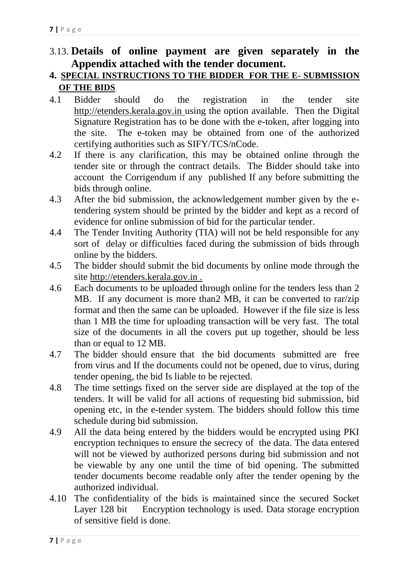## 3.13. **Details of online payment are given separately in the Appendix attached with the tender document.**

### **4. SPECIAL INSTRUCTIONS TO THE BIDDER FOR THE E- SUBMISSION OF THE BIDS**

- 4.1 Bidder should do the registration in the tender site http://etenders.kerala.gov.in using the option available. Then the Digital Signature Registration has to be done with the e-token, after logging into the site. The e-token may be obtained from one of the authorized certifying authorities such as SIFY/TCS/nCode.
- 4.2 If there is any clarification, this may be obtained online through the tender site or through the contract details. The Bidder should take into account the Corrigendum if any published If any before submitting the bids through online.
- 4.3 After the bid submission, the acknowledgement number given by the etendering system should be printed by the bidder and kept as a record of evidence for online submission of bid for the particular tender.
- 4.4 The Tender Inviting Authority (TIA) will not be held responsible for any sort of delay or difficulties faced during the submission of bids through online by the bidders.
- 4.5 The bidder should submit the bid documents by online mode through the site http://etenders.kerala.gov.in .
- 4.6 Each documents to be uploaded through online for the tenders less than 2 MB. If any document is more than2 MB, it can be converted to rar/zip format and then the same can be uploaded. However if the file size is less than 1 MB the time for uploading transaction will be very fast. The total size of the documents in all the covers put up together, should be less than or equal to 12 MB.
- 4.7 The bidder should ensure that the bid documents submitted are free from virus and If the documents could not be opened, due to virus, during tender opening, the bid Is liable to be rejected.
- 4.8 The time settings fixed on the server side are displayed at the top of the tenders. It will be valid for all actions of requesting bid submission, bid opening etc, in the e-tender system. The bidders should follow this time schedule during bid submission.
- 4.9 All the data being entered by the bidders would be encrypted using PKI encryption techniques to ensure the secrecy of the data. The data entered will not be viewed by authorized persons during bid submission and not be viewable by any one until the time of bid opening. The submitted tender documents become readable only after the tender opening by the authorized individual.
- 4.10 The confidentiality of the bids is maintained since the secured Socket Layer 128 bit Encryption technology is used. Data storage encryption of sensitive field is done.